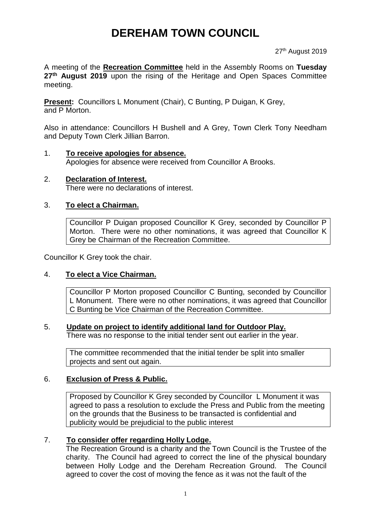# **DEREHAM TOWN COUNCIL**

#### 27<sup>th</sup> August 2019

A meeting of the **Recreation Committee** held in the Assembly Rooms on **Tuesday 27th August 2019** upon the rising of the Heritage and Open Spaces Committee meeting.

**Present:** Councillors L Monument (Chair), C Bunting, P Duigan, K Grey, and P Morton.

Also in attendance: Councillors H Bushell and A Grey, Town Clerk Tony Needham and Deputy Town Clerk Jillian Barron.

- 1. **To receive apologies for absence.** Apologies for absence were received from Councillor A Brooks.
- 2. **Declaration of Interest.** There were no declarations of interest.

### 3. **To elect a Chairman.**

Councillor P Duigan proposed Councillor K Grey, seconded by Councillor P Morton. There were no other nominations, it was agreed that Councillor K Grey be Chairman of the Recreation Committee.

Councillor K Grey took the chair.

### 4. **To elect a Vice Chairman.**

Councillor P Morton proposed Councillor C Bunting, seconded by Councillor L Monument. There were no other nominations, it was agreed that Councillor C Bunting be Vice Chairman of the Recreation Committee.

#### 5. **Update on project to identify additional land for Outdoor Play.**

There was no response to the initial tender sent out earlier in the year.

The committee recommended that the initial tender be split into smaller projects and sent out again.

### 6. **Exclusion of Press & Public.**

Proposed by Councillor K Grey seconded by Councillor L Monument it was agreed to pass a resolution to exclude the Press and Public from the meeting on the grounds that the Business to be transacted is confidential and publicity would be prejudicial to the public interest

## 7. **To consider offer regarding Holly Lodge.**

The Recreation Ground is a charity and the Town Council is the Trustee of the charity. The Council had agreed to correct the line of the physical boundary between Holly Lodge and the Dereham Recreation Ground. The Council agreed to cover the cost of moving the fence as it was not the fault of the